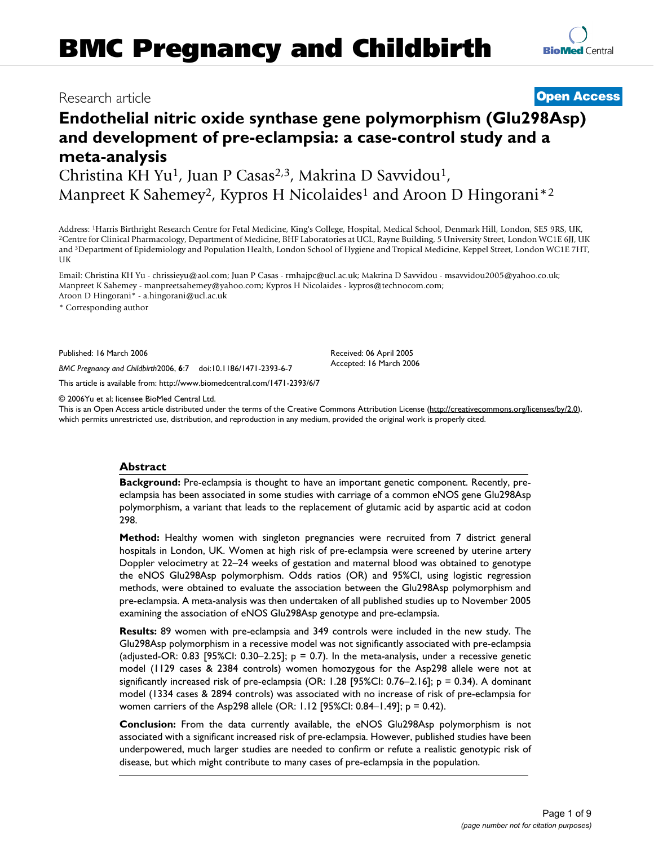# Research article **[Open Access](http://www.biomedcentral.com/info/about/charter/) Endothelial nitric oxide synthase gene polymorphism (Glu298Asp) and development of pre-eclampsia: a case-control study and a**

**meta-analysis** Christina KH Yu<sup>1</sup>, Juan P Casas<sup>2,3</sup>, Makrina D Savvidou<sup>1</sup>, Manpreet K Sahemey<sup>2</sup>, Kypros H Nicolaides<sup>1</sup> and Aroon D Hingorani<sup>\*2</sup>

Address: <sup>1</sup>Harris Birthright Research Centre for Fetal Medicine, King's College, Hospital, Medical School, Denmark Hill, London, SE5 9RS, UK,<br><sup>2</sup>Centre for Clinical Pharmacology, Department of Medicine, BHF Laboratories a and 3Department of Epidemiology and Population Health, London School of Hygiene and Tropical Medicine, Keppel Street, London WC1E 7HT, UK

Email: Christina KH Yu - chrissieyu@aol.com; Juan P Casas - rmhajpc@ucl.ac.uk; Makrina D Savvidou - msavvidou2005@yahoo.co.uk; Manpreet K Sahemey - manpreetsahemey@yahoo.com; Kypros H Nicolaides - kypros@technocom.com; Aroon D Hingorani\* - a.hingorani@ucl.ac.uk

\* Corresponding author

Published: 16 March 2006

*BMC Pregnancy and Childbirth*2006, **6**:7 doi:10.1186/1471-2393-6-7

[This article is available from: http://www.biomedcentral.com/1471-2393/6/7](http://www.biomedcentral.com/1471-2393/6/7)

© 2006Yu et al; licensee BioMed Central Ltd.

This is an Open Access article distributed under the terms of the Creative Commons Attribution License [\(http://creativecommons.org/licenses/by/2.0\)](http://creativecommons.org/licenses/by/2.0), which permits unrestricted use, distribution, and reproduction in any medium, provided the original work is properly cited.

# **Abstract**

**Background:** Pre-eclampsia is thought to have an important genetic component. Recently, preeclampsia has been associated in some studies with carriage of a common eNOS gene Glu298Asp polymorphism, a variant that leads to the replacement of glutamic acid by aspartic acid at codon 298.

**Method:** Healthy women with singleton pregnancies were recruited from 7 district general hospitals in London, UK. Women at high risk of pre-eclampsia were screened by uterine artery Doppler velocimetry at 22–24 weeks of gestation and maternal blood was obtained to genotype the eNOS Glu298Asp polymorphism. Odds ratios (OR) and 95%CI, using logistic regression methods, were obtained to evaluate the association between the Glu298Asp polymorphism and pre-eclampsia. A meta-analysis was then undertaken of all published studies up to November 2005 examining the association of eNOS Glu298Asp genotype and pre-eclampsia.

**Results:** 89 women with pre-eclampsia and 349 controls were included in the new study. The Glu298Asp polymorphism in a recessive model was not significantly associated with pre-eclampsia (adjusted-OR: 0.83 [95%CI: 0.30–2.25];  $p = 0.7$ ). In the meta-analysis, under a recessive genetic model (1129 cases & 2384 controls) women homozygous for the Asp298 allele were not at significantly increased risk of pre-eclampsia (OR: 1.28 [95%CI: 0.76–2.16]; p = 0.34). A dominant model (1334 cases & 2894 controls) was associated with no increase of risk of pre-eclampsia for women carriers of the Asp298 allele (OR: 1.12 [95%CI: 0.84–1.49]; p = 0.42).

**Conclusion:** From the data currently available, the eNOS Glu298Asp polymorphism is not associated with a significant increased risk of pre-eclampsia. However, published studies have been underpowered, much larger studies are needed to confirm or refute a realistic genotypic risk of disease, but which might contribute to many cases of pre-eclampsia in the population.



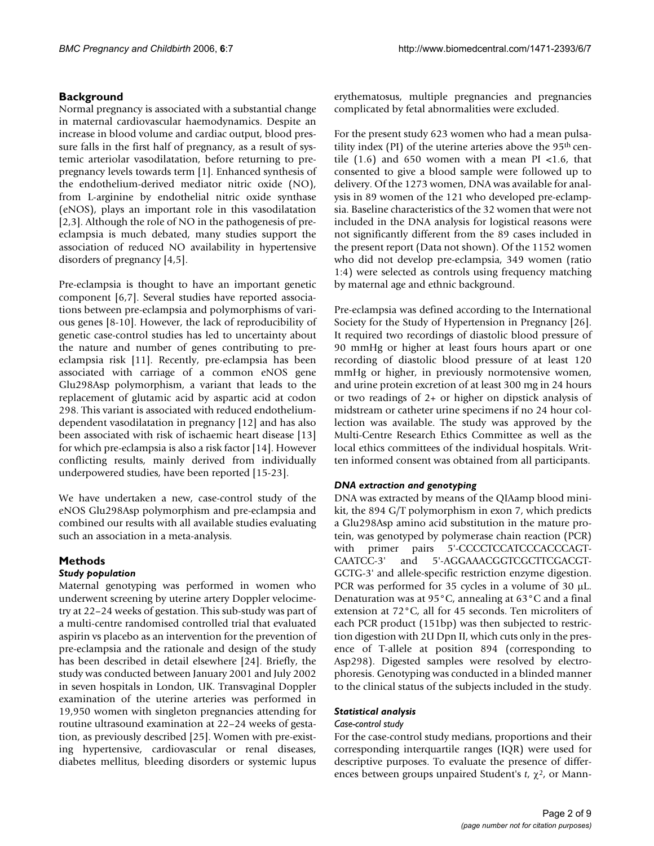# **Background**

Normal pregnancy is associated with a substantial change in maternal cardiovascular haemodynamics. Despite an increase in blood volume and cardiac output, blood pressure falls in the first half of pregnancy, as a result of systemic arteriolar vasodilatation, before returning to prepregnancy levels towards term [1]. Enhanced synthesis of the endothelium-derived mediator nitric oxide (NO), from L-arginine by endothelial nitric oxide synthase (eNOS), plays an important role in this vasodilatation [2,3]. Although the role of NO in the pathogenesis of preeclampsia is much debated, many studies support the association of reduced NO availability in hypertensive disorders of pregnancy [4,5].

Pre-eclampsia is thought to have an important genetic component [6,7]. Several studies have reported associations between pre-eclampsia and polymorphisms of various genes [8-10]. However, the lack of reproducibility of genetic case-control studies has led to uncertainty about the nature and number of genes contributing to preeclampsia risk [11]. Recently, pre-eclampsia has been associated with carriage of a common eNOS gene Glu298Asp polymorphism, a variant that leads to the replacement of glutamic acid by aspartic acid at codon 298. This variant is associated with reduced endotheliumdependent vasodilatation in pregnancy [12] and has also been associated with risk of ischaemic heart disease [13] for which pre-eclampsia is also a risk factor [14]. However conflicting results, mainly derived from individually underpowered studies, have been reported [15-23].

We have undertaken a new, case-control study of the eNOS Glu298Asp polymorphism and pre-eclampsia and combined our results with all available studies evaluating such an association in a meta-analysis.

# **Methods**

### *Study population*

Maternal genotyping was performed in women who underwent screening by uterine artery Doppler velocimetry at 22–24 weeks of gestation. This sub-study was part of a multi-centre randomised controlled trial that evaluated aspirin vs placebo as an intervention for the prevention of pre-eclampsia and the rationale and design of the study has been described in detail elsewhere [24]. Briefly, the study was conducted between January 2001 and July 2002 in seven hospitals in London, UK. Transvaginal Doppler examination of the uterine arteries was performed in 19,950 women with singleton pregnancies attending for routine ultrasound examination at 22–24 weeks of gestation, as previously described [25]. Women with pre-existing hypertensive, cardiovascular or renal diseases, diabetes mellitus, bleeding disorders or systemic lupus

erythematosus, multiple pregnancies and pregnancies complicated by fetal abnormalities were excluded.

For the present study 623 women who had a mean pulsatility index (PI) of the uterine arteries above the  $95<sup>th</sup>$  centile  $(1.6)$  and  $650$  women with a mean PI <1.6, that consented to give a blood sample were followed up to delivery. Of the 1273 women, DNA was available for analysis in 89 women of the 121 who developed pre-eclampsia. Baseline characteristics of the 32 women that were not included in the DNA analysis for logistical reasons were not significantly different from the 89 cases included in the present report (Data not shown). Of the 1152 women who did not develop pre-eclampsia, 349 women (ratio 1:4) were selected as controls using frequency matching by maternal age and ethnic background.

Pre-eclampsia was defined according to the International Society for the Study of Hypertension in Pregnancy [26]. It required two recordings of diastolic blood pressure of 90 mmHg or higher at least fours hours apart or one recording of diastolic blood pressure of at least 120 mmHg or higher, in previously normotensive women, and urine protein excretion of at least 300 mg in 24 hours or two readings of 2+ or higher on dipstick analysis of midstream or catheter urine specimens if no 24 hour collection was available. The study was approved by the Multi-Centre Research Ethics Committee as well as the local ethics committees of the individual hospitals. Written informed consent was obtained from all participants.

### *DNA extraction and genotyping*

DNA was extracted by means of the QIAamp blood minikit, the 894 G/T polymorphism in exon 7, which predicts a Glu298Asp amino acid substitution in the mature protein, was genotyped by polymerase chain reaction (PCR) with primer pairs 5'-CCCCTCCATCCCACCCAGT-CAATCC-3' and 5'-AGGAAACGGTCGCTTCGACGT-GCTG-3' and allele-specific restriction enzyme digestion. PCR was performed for 35 cycles in a volume of 30 µL. Denaturation was at 95°C, annealing at 63°C and a final extension at 72°C, all for 45 seconds. Ten microliters of each PCR product (151bp) was then subjected to restriction digestion with 2U Dpn II, which cuts only in the presence of T-allele at position 894 (corresponding to Asp298). Digested samples were resolved by electrophoresis. Genotyping was conducted in a blinded manner to the clinical status of the subjects included in the study.

# *Statistical analysis*

### *Case-control study*

For the case-control study medians, proportions and their corresponding interquartile ranges (IQR) were used for descriptive purposes. To evaluate the presence of differences between groups unpaired Student's *t*,  $χ²$ , or Mann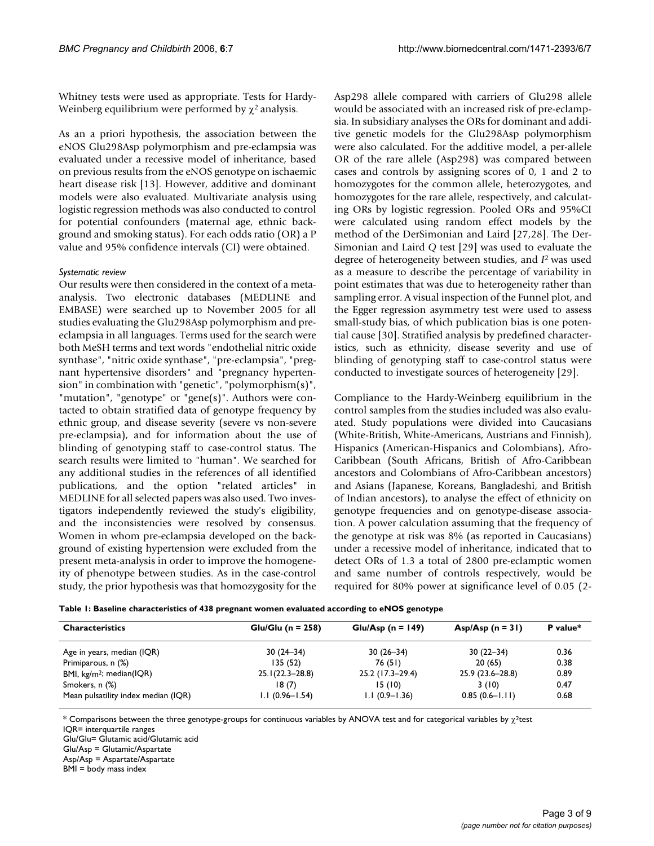Whitney tests were used as appropriate. Tests for Hardy-Weinberg equilibrium were performed by  $\chi^2$  analysis.

As an a priori hypothesis, the association between the eNOS Glu298Asp polymorphism and pre-eclampsia was evaluated under a recessive model of inheritance, based on previous results from the eNOS genotype on ischaemic heart disease risk [13]. However, additive and dominant models were also evaluated. Multivariate analysis using logistic regression methods was also conducted to control for potential confounders (maternal age, ethnic background and smoking status). For each odds ratio (OR) a P value and 95% confidence intervals (CI) were obtained.

#### *Systematic review*

Our results were then considered in the context of a metaanalysis. Two electronic databases (MEDLINE and EMBASE) were searched up to November 2005 for all studies evaluating the Glu298Asp polymorphism and preeclampsia in all languages. Terms used for the search were both MeSH terms and text words "endothelial nitric oxide synthase", "nitric oxide synthase", "pre-eclampsia", "pregnant hypertensive disorders" and "pregnancy hypertension" in combination with "genetic", "polymorphism(s)", "mutation", "genotype" or "gene(s)". Authors were contacted to obtain stratified data of genotype frequency by ethnic group, and disease severity (severe vs non-severe pre-eclampsia), and for information about the use of blinding of genotyping staff to case-control status. The search results were limited to "human". We searched for any additional studies in the references of all identified publications, and the option "related articles" in MEDLINE for all selected papers was also used. Two investigators independently reviewed the study's eligibility, and the inconsistencies were resolved by consensus. Women in whom pre-eclampsia developed on the background of existing hypertension were excluded from the present meta-analysis in order to improve the homogeneity of phenotype between studies. As in the case-control study, the prior hypothesis was that homozygosity for the Asp298 allele compared with carriers of Glu298 allele would be associated with an increased risk of pre-eclampsia. In subsidiary analyses the ORs for dominant and additive genetic models for the Glu298Asp polymorphism were also calculated. For the additive model, a per-allele OR of the rare allele (Asp298) was compared between cases and controls by assigning scores of 0, 1 and 2 to homozygotes for the common allele, heterozygotes, and homozygotes for the rare allele, respectively, and calculating ORs by logistic regression. Pooled ORs and 95%CI were calculated using random effect models by the method of the DerSimonian and Laird [27,28]. The Der-Simonian and Laird *Q* test [29] was used to evaluate the degree of heterogeneity between studies, and *I*2 was used as a measure to describe the percentage of variability in point estimates that was due to heterogeneity rather than sampling error. A visual inspection of the Funnel plot, and the Egger regression asymmetry test were used to assess small-study bias, of which publication bias is one potential cause [30]. Stratified analysis by predefined characteristics, such as ethnicity, disease severity and use of blinding of genotyping staff to case-control status were conducted to investigate sources of heterogeneity [29].

Compliance to the Hardy-Weinberg equilibrium in the control samples from the studies included was also evaluated. Study populations were divided into Caucasians (White-British, White-Americans, Austrians and Finnish), Hispanics (American-Hispanics and Colombians), Afro-Caribbean (South Africans, British of Afro-Caribbean ancestors and Colombians of Afro-Caribbean ancestors) and Asians (Japanese, Koreans, Bangladeshi, and British of Indian ancestors), to analyse the effect of ethnicity on genotype frequencies and on genotype-disease association. A power calculation assuming that the frequency of the genotype at risk was 8% (as reported in Caucasians) under a recessive model of inheritance, indicated that to detect ORs of 1.3 a total of 2800 pre-eclamptic women and same number of controls respectively, would be required for 80% power at significance level of 0.05 (2-

| Table 1: Baseline characteristics of 438 pregnant women evaluated according to eNOS genotype |  |
|----------------------------------------------------------------------------------------------|--|
|----------------------------------------------------------------------------------------------|--|

| <b>Characteristics</b>               | $Glu/Glu$ (n = 258) | $Glu/Asp (n = 149)$ | Asp/Asp $(n = 31)$ | P value* |  |
|--------------------------------------|---------------------|---------------------|--------------------|----------|--|
| Age in years, median (IQR)           | $30(24-34)$         | $30(26 - 34)$       | $30(22 - 34)$      | 0.36     |  |
| Primiparous, n (%)                   | 135(52)             | 76 (51)             | 20(65)             | 0.38     |  |
| BMI, kg/m <sup>2</sup> ; median(IQR) | $25.1(22.3 - 28.8)$ | 25.2 (17.3–29.4)    | $25.9(23.6-28.8)$  | 0.89     |  |
| Smokers, n (%)                       | 18(7)               | 15(10)              | 3(10)              | 0.47     |  |
| Mean pulsatility index median (IQR)  | $1.1(0.96 - 1.54)$  | $1.1(0.9-1.36)$     | $0.85(0.6-1.11)$   | 0.68     |  |

 $*$  Comparisons between the three genotype-groups for continuous variables by ANOVA test and for categorical variables by  $\chi^2$ test

IQR= interquartile ranges

Glu/Glu= Glutamic acid/Glutamic acid

Glu/Asp = Glutamic/Aspartate

Asp/Asp = Aspartate/Aspartate

BMI = body mass index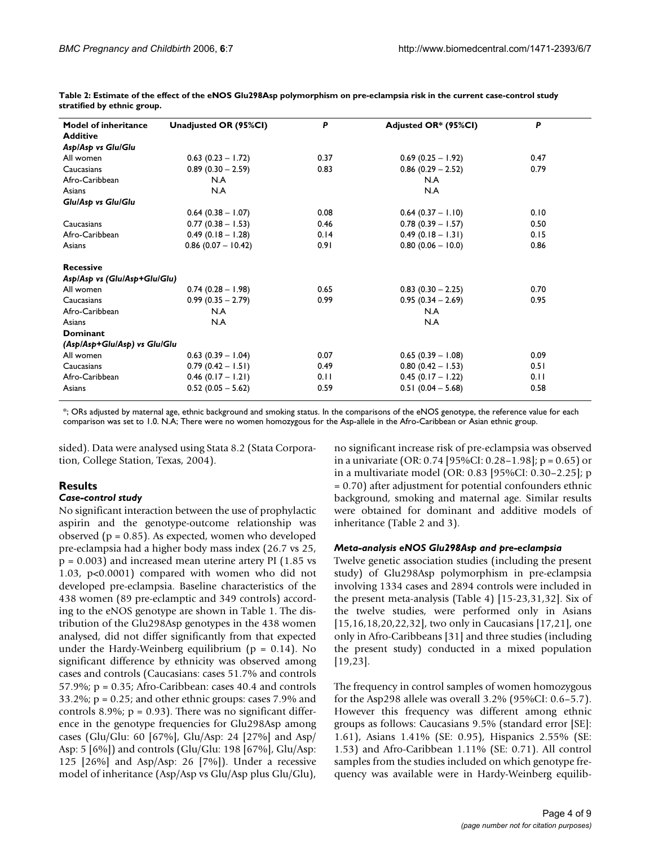| <b>Model of inheritance</b>  | Unadjusted OR (95%CI) | P    | Adjusted OR* (95%CI) | P    |
|------------------------------|-----------------------|------|----------------------|------|
| <b>Additive</b>              |                       |      |                      |      |
| Asp/Asp vs Glu/Glu           |                       |      |                      |      |
| All women                    | $0.63$ (0.23 - 1.72)  | 0.37 | $0.69(0.25 - 1.92)$  | 0.47 |
| Caucasians                   | $0.89$ (0.30 - 2.59)  | 0.83 | $0.86$ (0.29 - 2.52) | 0.79 |
| Afro-Caribbean               | N.A                   |      | N.A                  |      |
| Asians                       | N.A                   |      | N.A                  |      |
| <b>Glu/Asp vs Glu/Glu</b>    |                       |      |                      |      |
|                              | $0.64$ (0.38 - 1.07)  | 0.08 | $0.64(0.37 - 1.10)$  | 0.10 |
| Caucasians                   | $0.77(0.38 - 1.53)$   | 0.46 | $0.78(0.39 - 1.57)$  | 0.50 |
| Afro-Caribbean               | $0.49(0.18 - 1.28)$   | 0.14 | $0.49(0.18 - 1.31)$  | 0.15 |
| Asians                       | $0.86(0.07 - 10.42)$  | 0.91 | $0.80(0.06 - 10.0)$  | 0.86 |
| <b>Recessive</b>             |                       |      |                      |      |
| AsplAsp vs (GlulAsp+GlulGlu) |                       |      |                      |      |
| All women                    | $0.74(0.28 - 1.98)$   | 0.65 | $0.83$ (0.30 - 2.25) | 0.70 |
| Caucasians                   | $0.99(0.35 - 2.79)$   | 0.99 | $0.95(0.34 - 2.69)$  | 0.95 |
| Afro-Caribbean               | N.A                   |      | N.A                  |      |
| Asians                       | N.A                   |      | N.A                  |      |
| <b>Dominant</b>              |                       |      |                      |      |
| (Asp/Asp+Glu/Asp) vs Glu/Glu |                       |      |                      |      |
| All women                    | $0.63$ (0.39 - 1.04)  | 0.07 | $0.65(0.39 - 1.08)$  | 0.09 |
| Caucasians                   | $0.79(0.42 - 1.51)$   | 0.49 | $0.80$ (0.42 - 1.53) | 0.51 |
| Afro-Caribbean               | $0.46$ (0.17 - 1.21)  | 0.11 | $0.45(0.17 - 1.22)$  | 0.11 |
| Asians                       | $0.52(0.05 - 5.62)$   | 0.59 | $0.51(0.04 - 5.68)$  | 0.58 |

**Table 2: Estimate of the effect of the eNOS Glu298Asp polymorphism on pre-eclampsia risk in the current case-control study stratified by ethnic group.**

\*; ORs adjusted by maternal age, ethnic background and smoking status. In the comparisons of the eNOS genotype, the reference value for each comparison was set to 1.0. N.A; There were no women homozygous for the Asp-allele in the Afro-Caribbean or Asian ethnic group.

sided). Data were analysed using Stata 8.2 (Stata Corporation, College Station, Texas, 2004).

# **Results**

### *Case-control study*

No significant interaction between the use of prophylactic aspirin and the genotype-outcome relationship was observed ( $p = 0.85$ ). As expected, women who developed pre-eclampsia had a higher body mass index (26.7 vs 25,  $p = 0.003$ ) and increased mean uterine artery PI (1.85 vs 1.03, p<0.0001) compared with women who did not developed pre-eclampsia. Baseline characteristics of the 438 women (89 pre-eclamptic and 349 controls) according to the eNOS genotype are shown in Table 1. The distribution of the Glu298Asp genotypes in the 438 women analysed, did not differ significantly from that expected under the Hardy-Weinberg equilibrium ( $p = 0.14$ ). No significant difference by ethnicity was observed among cases and controls (Caucasians: cases 51.7% and controls 57.9%; p = 0.35; Afro-Caribbean: cases 40.4 and controls 33.2%;  $p = 0.25$ ; and other ethnic groups: cases 7.9% and controls 8.9%;  $p = 0.93$ ). There was no significant difference in the genotype frequencies for Glu298Asp among cases (Glu/Glu: 60 [67%], Glu/Asp: 24 [27%] and Asp/ Asp: 5 [6%]) and controls (Glu/Glu: 198 [67%], Glu/Asp: 125 [26%] and Asp/Asp: 26 [7%]). Under a recessive model of inheritance (Asp/Asp vs Glu/Asp plus Glu/Glu),

no significant increase risk of pre-eclampsia was observed in a univariate (OR: 0.74 [95%CI: 0.28–1.98]; p = 0.65) or in a multivariate model (OR: 0.83 [95%CI: 0.30–2.25]; p = 0.70) after adjustment for potential confounders ethnic background, smoking and maternal age. Similar results were obtained for dominant and additive models of inheritance (Table 2 and 3).

# *Meta-analysis eNOS Glu298Asp and pre-eclampsia*

Twelve genetic association studies (including the present study) of Glu298Asp polymorphism in pre-eclampsia involving 1334 cases and 2894 controls were included in the present meta-analysis (Table 4) [15-23,31,32]. Six of the twelve studies, were performed only in Asians [15,16,18,20,22,32], two only in Caucasians [17,21], one only in Afro-Caribbeans [31] and three studies (including the present study) conducted in a mixed population [19,23].

The frequency in control samples of women homozygous for the Asp298 allele was overall 3.2% (95%CI: 0.6–5.7). However this frequency was different among ethnic groups as follows: Caucasians 9.5% (standard error [SE]: 1.61), Asians 1.41% (SE: 0.95), Hispanics 2.55% (SE: 1.53) and Afro-Caribbean 1.11% (SE: 0.71). All control samples from the studies included on which genotype frequency was available were in Hardy-Weinberg equilib-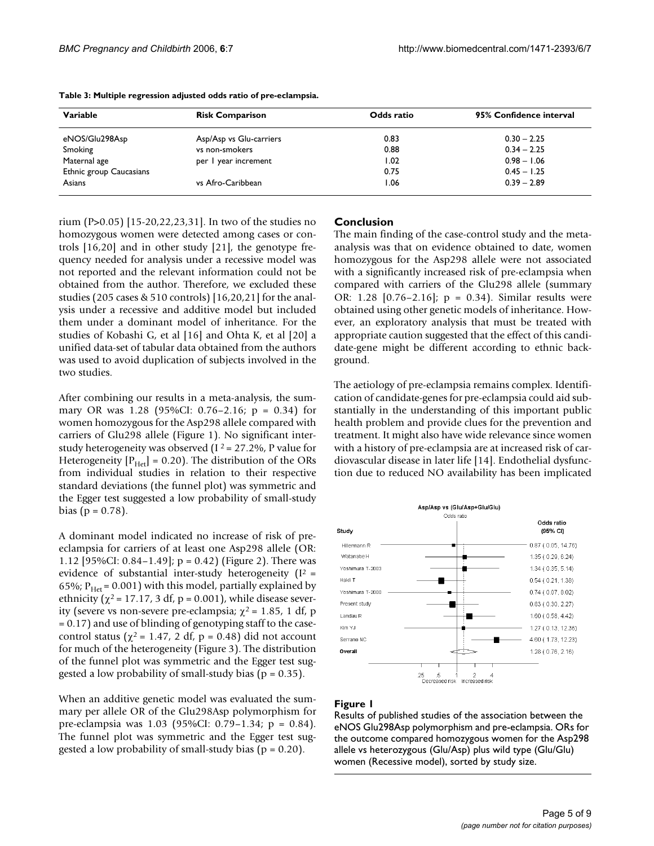| Variable                | <b>Risk Comparison</b>  | Odds ratio | 95% Confidence interval |  |
|-------------------------|-------------------------|------------|-------------------------|--|
| eNOS/Glu298Asp          | Asp/Asp vs Glu-carriers | 0.83       | $0.30 - 2.25$           |  |
| Smoking                 | vs non-smokers          | 0.88       | $0.34 - 2.25$           |  |
| Maternal age            | per I year increment    | 1.02       | $0.98 - 1.06$           |  |
| Ethnic group Caucasians |                         | 0.75       | $0.45 - 1.25$           |  |
| Asians                  | vs Afro-Caribbean       | 1.06       | $0.39 - 2.89$           |  |

| Table 3: Multiple regression adjusted odds ratio of pre-eclampsia. |  |  |
|--------------------------------------------------------------------|--|--|
|--------------------------------------------------------------------|--|--|

rium (P>0.05) [15-20,22,23,31]. In two of the studies no homozygous women were detected among cases or controls [16,20] and in other study [21], the genotype frequency needed for analysis under a recessive model was not reported and the relevant information could not be obtained from the author. Therefore, we excluded these studies (205 cases & 510 controls) [16,20,21] for the analysis under a recessive and additive model but included them under a dominant model of inheritance. For the studies of Kobashi G, et al [16] and Ohta K, et al [20] a unified data-set of tabular data obtained from the authors was used to avoid duplication of subjects involved in the two studies.

After combining our results in a meta-analysis, the summary OR was 1.28 (95%CI: 0.76–2.16; p = 0.34) for women homozygous for the Asp298 allele compared with carriers of Glu298 allele (Figure 1). No significant interstudy heterogeneity was observed ( $I^2 = 27.2$ %, P value for Heterogeneity  $[P<sub>Her</sub>] = 0.20$ . The distribution of the ORs from individual studies in relation to their respective standard deviations (the funnel plot) was symmetric and the Egger test suggested a low probability of small-study bias ( $p = 0.78$ ).

A dominant model indicated no increase of risk of preeclampsia for carriers of at least one Asp298 allele (OR: 1.12 [95%CI: 0.84–1.49];  $p = 0.42$ ] (Figure 2). There was evidence of substantial inter-study heterogeneity ( $I^2$  = 65%;  $P_{\text{Het}}$  = 0.001) with this model, partially explained by ethnicity ( $\chi^2$  = 17.17, 3 df, p = 0.001), while disease severity (severe vs non-severe pre-eclampsia;  $\chi^2$  = 1.85, 1 df, p = 0.17) and use of blinding of genotyping staff to the casecontrol status ( $\chi^2$  = 1.47, 2 df, p = 0.48) did not account for much of the heterogeneity (Figure 3). The distribution of the funnel plot was symmetric and the Egger test suggested a low probability of small-study bias ( $p = 0.35$ ).

When an additive genetic model was evaluated the summary per allele OR of the Glu298Asp polymorphism for pre-eclampsia was 1.03 (95%CI: 0.79–1.34; p = 0.84). The funnel plot was symmetric and the Egger test suggested a low probability of small-study bias ( $p = 0.20$ ).

#### **Conclusion**

The main finding of the case-control study and the metaanalysis was that on evidence obtained to date, women homozygous for the Asp298 allele were not associated with a significantly increased risk of pre-eclampsia when compared with carriers of the Glu298 allele (summary OR: 1.28 [0.76–2.16]; p = 0.34). Similar results were obtained using other genetic models of inheritance. However, an exploratory analysis that must be treated with appropriate caution suggested that the effect of this candidate-gene might be different according to ethnic background.

The aetiology of pre-eclampsia remains complex. Identification of candidate-genes for pre-eclampsia could aid substantially in the understanding of this important public health problem and provide clues for the prevention and treatment. It might also have wide relevance since women with a history of pre-eclampsia are at increased risk of cardiovascular disease in later life [14]. Endothelial dysfunction due to reduced NO availability has been implicated



# Figure 1

Results of published studies of the association between the eNOS Glu298Asp polymorphism and pre-eclampsia. ORs for the outcome compared homozygous women for the Asp298 allele vs heterozygous (Glu/Asp) plus wild type (Glu/Glu) women (Recessive model), sorted by study size.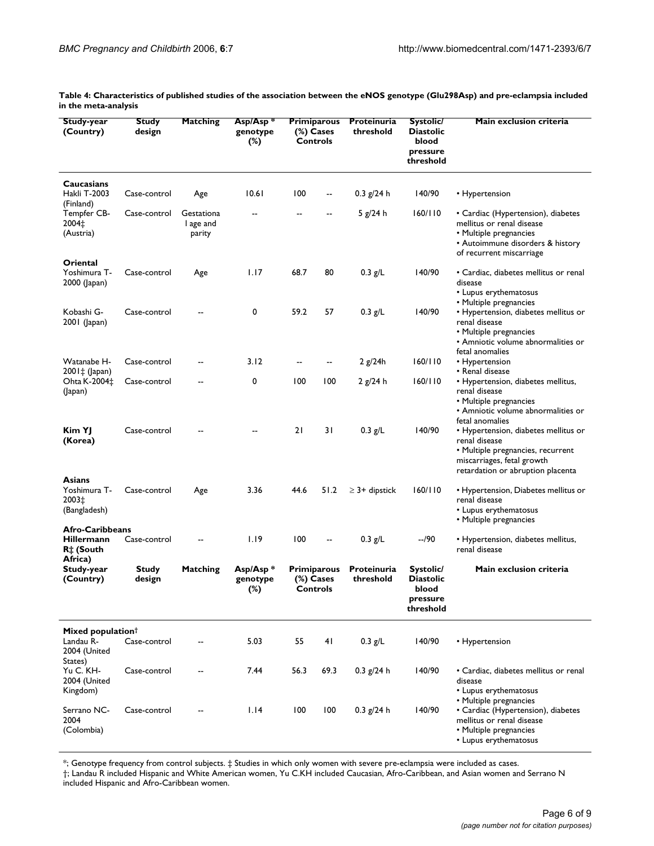| Study-year<br>(Country)                                      | <b>Study</b><br>design | <b>Matching</b>                   | Asp/Asp*<br>genotype<br>$(\%)$ | <b>Primiparous</b><br>(%) Cases<br><b>Controls</b> |                          | Proteinuria<br>threshold | Systolic/<br><b>Diastolic</b><br>blood<br>pressure<br>threshold | Main exclusion criteria                                                                                                                                                          |
|--------------------------------------------------------------|------------------------|-----------------------------------|--------------------------------|----------------------------------------------------|--------------------------|--------------------------|-----------------------------------------------------------------|----------------------------------------------------------------------------------------------------------------------------------------------------------------------------------|
| <b>Caucasians</b><br><b>Hakli T-2003</b><br>(Finland)        | Case-control           | Age                               | 10.61                          | 100                                                | $\overline{\phantom{a}}$ | $0.3$ g/24 h             | 140/90                                                          | • Hypertension                                                                                                                                                                   |
| Tempfer CB-<br>2004‡<br>(Austria)                            | Case-control           | Gestationa<br>l age and<br>parity |                                | --                                                 |                          | 5 g/24 h                 | 160/110                                                         | • Cardiac (Hypertension), diabetes<br>mellitus or renal disease<br>• Multiple pregnancies<br>• Autoimmune disorders & history<br>of recurrent miscarriage                        |
| Oriental<br>Yoshimura T-<br>2000 (Japan)                     | Case-control           | Age                               | 1.17                           | 68.7                                               | 80                       | $0.3$ g/L                | 140/90                                                          | • Cardiac, diabetes mellitus or renal<br>disease<br>• Lupus erythematosus                                                                                                        |
| Kobashi G-<br>2001 (Japan)                                   | Case-control           |                                   | 0                              | 59.2                                               | 57                       | $0.3$ g/L                | 140/90                                                          | • Multiple pregnancies<br>• Hypertension, diabetes mellitus or<br>renal disease<br>• Multiple pregnancies<br>• Amniotic volume abnormalities or                                  |
| Watanabe H-                                                  | Case-control           |                                   | 3.12                           | --                                                 |                          | 2 g/24h                  | 160/110                                                         | fetal anomalies<br>• Hypertension                                                                                                                                                |
| 2001‡ (Japan)<br>Ohta K-2004‡<br>(Japan)                     | Case-control           |                                   | 0                              | 100                                                | 100                      | 2 g/24 h                 | 160/110                                                         | • Renal disease<br>• Hypertension, diabetes mellitus,<br>renal disease<br>• Multiple pregnancies<br>• Amniotic volume abnormalities or                                           |
| Kim YJ<br>(Korea)                                            | Case-control           |                                   |                                | 21                                                 | 31                       | $0.3$ g/L                | 140/90                                                          | fetal anomalies<br>• Hypertension, diabetes mellitus or<br>renal disease<br>• Multiple pregnancies, recurrent<br>miscarriages, fetal growth<br>retardation or abruption placenta |
| <b>Asians</b><br>Yoshimura T-<br>2003‡<br>(Bangladesh)       | Case-control           | Age                               | 3.36                           | 44.6                                               | 51.2                     | $\geq$ 3+ dipstick       | 160/110                                                         | • Hypertension, Diabetes mellitus or<br>renal disease<br>• Lupus erythematosus<br>• Multiple pregnancies                                                                         |
| Afro-Caribbeans<br><b>Hillermann</b><br>R‡ (South<br>Africa) | Case-control           |                                   | 1.19                           | 100                                                | $\overline{\phantom{a}}$ | $0.3$ g/L                | $-190$                                                          | • Hypertension, diabetes mellitus,<br>renal disease                                                                                                                              |
| Study-year<br>(Country)                                      | <b>Study</b><br>design | Matching                          | Asp/Asp*<br>genotype<br>$(\%)$ | <b>Primiparous</b><br>(%) Cases<br>Controls        |                          | Proteinuria<br>threshold | Systolic/<br>Diastolic<br>blood<br>pressure<br>threshold        | Main exclusion criteria                                                                                                                                                          |
| Mixed population <sup>†</sup><br>Landau R-<br>2004 (United   | Case-control           |                                   | 5.03                           | 55                                                 | 41                       | $0.3$ g/L                | 140/90                                                          | • Hypertension                                                                                                                                                                   |
| States)<br>Yu C. KH-<br>2004 (United<br>Kingdom)             | Case-control           |                                   | 7.44                           | 56.3                                               | 69.3                     | $0.3$ g/24 h             | 140/90                                                          | • Cardiac, diabetes mellitus or renal<br>disease<br>• Lupus erythematosus                                                                                                        |
| Serrano NC-<br>2004<br>(Colombia)                            | Case-control           |                                   | 1.14                           | 100                                                | 100                      | $0.3$ g/24 h             | 140/90                                                          | • Multiple pregnancies<br>• Cardiac (Hypertension), diabetes<br>mellitus or renal disease<br>• Multiple pregnancies<br>• Lupus erythematosus                                     |

**Table 4: Characteristics of published studies of the association between the eNOS genotype (Glu298Asp) and pre-eclampsia included in the meta-analysis**

\*; Genotype frequency from control subjects. ‡ Studies in which only women with severe pre-eclampsia were included as cases.

†; Landau R included Hispanic and White American women, Yu C.KH included Caucasian, Afro-Caribbean, and Asian women and Serrano N included Hispanic and Afro-Caribbean women.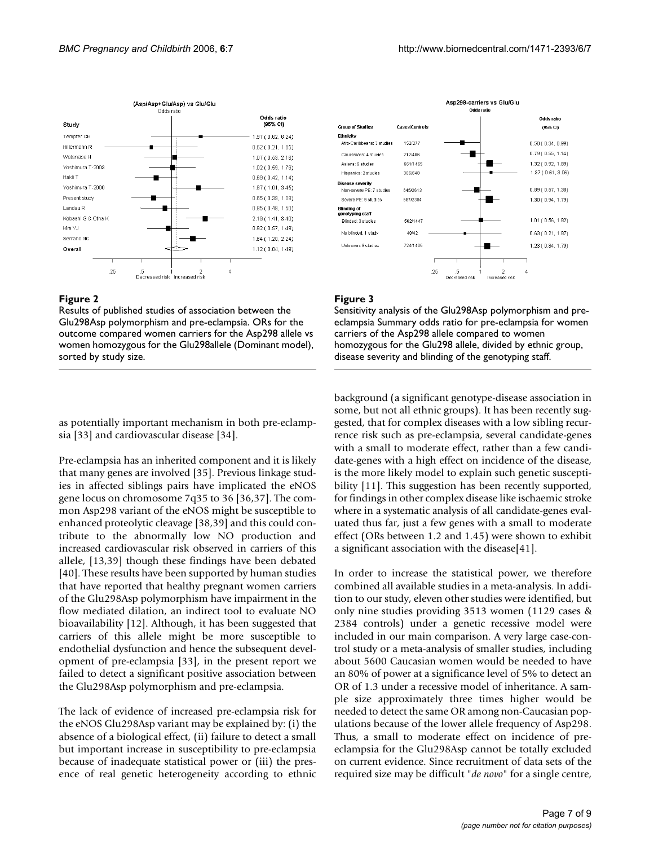

#### Figure 2

Results of published studies of association between the Glu298Asp polymorphism and pre-eclampsia. ORs for the outcome compared women carriers for the Asp298 allele vs women homozygous for the Glu298allele (Dominant model), sorted by study size.



#### Figure 3

Sensitivity analysis of the Glu298Asp polymorphism and preeclampsia Summary odds ratio for pre-eclampsia for women carriers of the Asp298 allele compared to women homozygous for the Glu298 allele, divided by ethnic group, disease severity and blinding of the genotyping staff.

as potentially important mechanism in both pre-eclampsia [33] and cardiovascular disease [34].

Pre-eclampsia has an inherited component and it is likely that many genes are involved [35]. Previous linkage studies in affected siblings pairs have implicated the eNOS gene locus on chromosome 7q35 to 36 [36,37]. The common Asp298 variant of the eNOS might be susceptible to enhanced proteolytic cleavage [38,39] and this could contribute to the abnormally low NO production and increased cardiovascular risk observed in carriers of this allele, [13,39] though these findings have been debated [40]. These results have been supported by human studies that have reported that healthy pregnant women carriers of the Glu298Asp polymorphism have impairment in the flow mediated dilation, an indirect tool to evaluate NO bioavailability [12]. Although, it has been suggested that carriers of this allele might be more susceptible to endothelial dysfunction and hence the subsequent development of pre-eclampsia [33], in the present report we failed to detect a significant positive association between the Glu298Asp polymorphism and pre-eclampsia.

The lack of evidence of increased pre-eclampsia risk for the eNOS Glu298Asp variant may be explained by: (i) the absence of a biological effect, (ii) failure to detect a small but important increase in susceptibility to pre-eclampsia because of inadequate statistical power or (iii) the presence of real genetic heterogeneity according to ethnic

background (a significant genotype-disease association in some, but not all ethnic groups). It has been recently suggested, that for complex diseases with a low sibling recurrence risk such as pre-eclampsia, several candidate-genes with a small to moderate effect, rather than a few candidate-genes with a high effect on incidence of the disease, is the more likely model to explain such genetic susceptibility [11]. This suggestion has been recently supported, for findings in other complex disease like ischaemic stroke where in a systematic analysis of all candidate-genes evaluated thus far, just a few genes with a small to moderate effect (ORs between 1.2 and 1.45) were shown to exhibit a significant association with the disease[41].

In order to increase the statistical power, we therefore combined all available studies in a meta-analysis. In addition to our study, eleven other studies were identified, but only nine studies providing 3513 women (1129 cases & 2384 controls) under a genetic recessive model were included in our main comparison. A very large case-control study or a meta-analysis of smaller studies, including about 5600 Caucasian women would be needed to have an 80% of power at a significance level of 5% to detect an OR of 1.3 under a recessive model of inheritance. A sample size approximately three times higher would be needed to detect the same OR among non-Caucasian populations because of the lower allele frequency of Asp298. Thus, a small to moderate effect on incidence of preeclampsia for the Glu298Asp cannot be totally excluded on current evidence. Since recruitment of data sets of the required size may be difficult "*de novo*" for a single centre,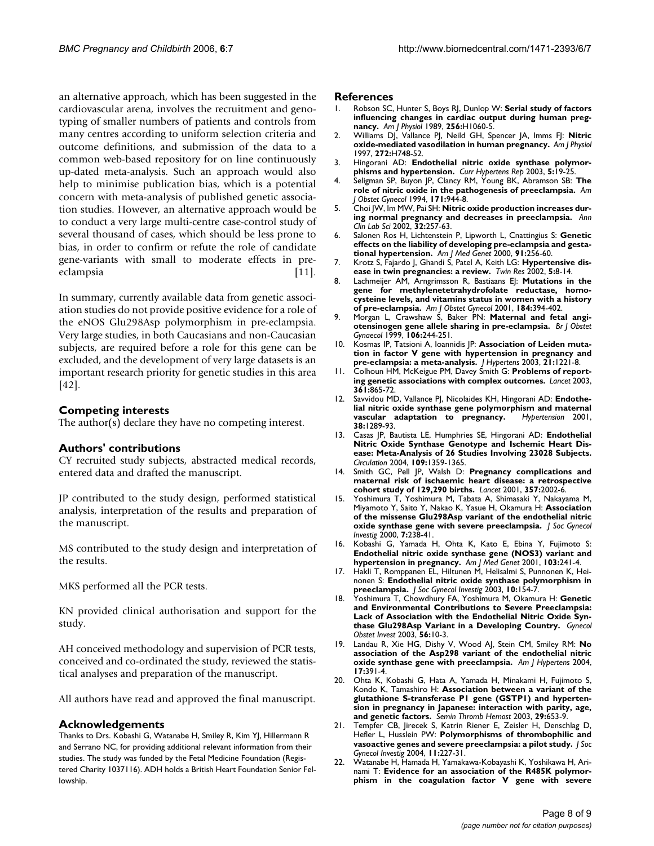an alternative approach, which has been suggested in the cardiovascular arena, involves the recruitment and genotyping of smaller numbers of patients and controls from many centres according to uniform selection criteria and outcome definitions, and submission of the data to a common web-based repository for on line continuously up-dated meta-analysis. Such an approach would also help to minimise publication bias, which is a potential concern with meta-analysis of published genetic association studies. However, an alternative approach would be to conduct a very large multi-centre case-control study of several thousand of cases, which should be less prone to bias, in order to confirm or refute the role of candidate gene-variants with small to moderate effects in preeclampsia [11].

In summary, currently available data from genetic association studies do not provide positive evidence for a role of the eNOS Glu298Asp polymorphism in pre-eclampsia. Very large studies, in both Caucasians and non-Caucasian subjects, are required before a role for this gene can be excluded, and the development of very large datasets is an important research priority for genetic studies in this area [42].

# **Competing interests**

The author(s) declare they have no competing interest.

# **Authors' contributions**

CY recruited study subjects, abstracted medical records, entered data and drafted the manuscript.

JP contributed to the study design, performed statistical analysis, interpretation of the results and preparation of the manuscript.

MS contributed to the study design and interpretation of the results.

MKS performed all the PCR tests.

KN provided clinical authorisation and support for the study.

AH conceived methodology and supervision of PCR tests, conceived and co-ordinated the study, reviewed the statistical analyses and preparation of the manuscript.

All authors have read and approved the final manuscript.

### **Acknowledgements**

Thanks to Drs. Kobashi G, Watanabe H, Smiley R, Kim YJ, Hillermann R and Serrano NC, for providing additional relevant information from their studies. The study was funded by the Fetal Medicine Foundation (Registered Charity 1037116). ADH holds a British Heart Foundation Senior Fellowship.

### **References**

- 1. Robson SC, Hunter S, Boys RJ, Dunlop W: **[Serial study of factors](http://www.ncbi.nlm.nih.gov/entrez/query.fcgi?cmd=Retrieve&db=PubMed&dopt=Abstract&list_uids=2705548) [influencing changes in cardiac output during human preg](http://www.ncbi.nlm.nih.gov/entrez/query.fcgi?cmd=Retrieve&db=PubMed&dopt=Abstract&list_uids=2705548)[nancy.](http://www.ncbi.nlm.nih.gov/entrez/query.fcgi?cmd=Retrieve&db=PubMed&dopt=Abstract&list_uids=2705548)** *Am J Physiol* 1989, **256:**H1060-5.
- 2. Williams DJ, Vallance PJ, Neild GH, Spencer JA, Imms FJ: **[Nitric](http://www.ncbi.nlm.nih.gov/entrez/query.fcgi?cmd=Retrieve&db=PubMed&dopt=Abstract&list_uids=9124434) [oxide-mediated vasodilation in human pregnancy.](http://www.ncbi.nlm.nih.gov/entrez/query.fcgi?cmd=Retrieve&db=PubMed&dopt=Abstract&list_uids=9124434)** *Am J Physiol* 1997, **272:**H748-52.
- Hingorani AD: **[Endothelial nitric oxide synthase polymor](http://www.ncbi.nlm.nih.gov/entrez/query.fcgi?cmd=Retrieve&db=PubMed&dopt=Abstract&list_uids=12530931)[phisms and hypertension.](http://www.ncbi.nlm.nih.gov/entrez/query.fcgi?cmd=Retrieve&db=PubMed&dopt=Abstract&list_uids=12530931)** *Curr Hypertens Rep* 2003, **5:**19-25.
- 4. Seligman SP, Buyon JP, Clancy RM, Young BK, Abramson SB: **[The](http://www.ncbi.nlm.nih.gov/entrez/query.fcgi?cmd=Retrieve&db=PubMed&dopt=Abstract&list_uids=7943106) [role of nitric oxide in the pathogenesis of preeclampsia.](http://www.ncbi.nlm.nih.gov/entrez/query.fcgi?cmd=Retrieve&db=PubMed&dopt=Abstract&list_uids=7943106)** *Am J Obstet Gynecol* 1994, **171:**944-8.
- Choi JW, Im MW, Pai SH: [Nitric oxide production increases dur](http://www.ncbi.nlm.nih.gov/entrez/query.fcgi?cmd=Retrieve&db=PubMed&dopt=Abstract&list_uids=12175088)**[ing normal pregnancy and decreases in preeclampsia.](http://www.ncbi.nlm.nih.gov/entrez/query.fcgi?cmd=Retrieve&db=PubMed&dopt=Abstract&list_uids=12175088)** *Ann Clin Lab Sci* 2002, **32:**257-63.
- 6. Salonen Ros H, Lichtenstein P, Lipworth L, Cnattingius S: **[Genetic](http://www.ncbi.nlm.nih.gov/entrez/query.fcgi?cmd=Retrieve&db=PubMed&dopt=Abstract&list_uids=10766979) [effects on the liability of developing pre-eclampsia and gesta](http://www.ncbi.nlm.nih.gov/entrez/query.fcgi?cmd=Retrieve&db=PubMed&dopt=Abstract&list_uids=10766979)[tional hypertension.](http://www.ncbi.nlm.nih.gov/entrez/query.fcgi?cmd=Retrieve&db=PubMed&dopt=Abstract&list_uids=10766979)** *Am J Med Genet* 2000, **91:**256-60.
- 7. Krotz S, Fajardo J, Ghandi S, Patel A, Keith LG: **[Hypertensive dis](http://www.ncbi.nlm.nih.gov/entrez/query.fcgi?cmd=Retrieve&db=PubMed&dopt=Abstract&list_uids=11893276)[ease in twin pregnancies: a review.](http://www.ncbi.nlm.nih.gov/entrez/query.fcgi?cmd=Retrieve&db=PubMed&dopt=Abstract&list_uids=11893276)** *Twin Res* 2002, **5:**8-14.
- 8. Lachmeijer AM, Arngrimsson R, Bastiaans EJ: **[Mutations in the](http://www.ncbi.nlm.nih.gov/entrez/query.fcgi?cmd=Retrieve&db=PubMed&dopt=Abstract&list_uids=11228493) gene for methylenetetrahydrofolate reductase, homo[cysteine levels, and vitamins status in women with a history](http://www.ncbi.nlm.nih.gov/entrez/query.fcgi?cmd=Retrieve&db=PubMed&dopt=Abstract&list_uids=11228493) [of pre-eclampsia.](http://www.ncbi.nlm.nih.gov/entrez/query.fcgi?cmd=Retrieve&db=PubMed&dopt=Abstract&list_uids=11228493)** *Am J Obstet Gynecol* 2001, **184:**394-402.
- 9. Morgan L, Crawshaw S, Baker PN: **[Maternal and fetal angi](http://www.ncbi.nlm.nih.gov/entrez/query.fcgi?cmd=Retrieve&db=PubMed&dopt=Abstract&list_uids=10426644)[otensinogen gene allele sharing in pre-eclampsia.](http://www.ncbi.nlm.nih.gov/entrez/query.fcgi?cmd=Retrieve&db=PubMed&dopt=Abstract&list_uids=10426644)** *Br J Obstet Gynaecol* 1999, **106:**244-251.
- 10. Kosmas IP, Tatsioni A, Ioannidis JP: **[Association of Leiden muta](http://www.ncbi.nlm.nih.gov/entrez/query.fcgi?cmd=Retrieve&db=PubMed&dopt=Abstract&list_uids=12817161)[tion in factor V gene with hypertension in pregnancy and](http://www.ncbi.nlm.nih.gov/entrez/query.fcgi?cmd=Retrieve&db=PubMed&dopt=Abstract&list_uids=12817161) [pre-eclampsia: a meta-analysis.](http://www.ncbi.nlm.nih.gov/entrez/query.fcgi?cmd=Retrieve&db=PubMed&dopt=Abstract&list_uids=12817161)** *J Hypertens* 2003, **21:**1221-8.
- 11. Colhoun HM, McKeigue PM, Davey Smith G: **[Problems of report](http://www.ncbi.nlm.nih.gov/entrez/query.fcgi?cmd=Retrieve&db=PubMed&dopt=Abstract&list_uids=12642066)[ing genetic associations with complex outcomes.](http://www.ncbi.nlm.nih.gov/entrez/query.fcgi?cmd=Retrieve&db=PubMed&dopt=Abstract&list_uids=12642066)** *Lancet* 2003, **361:**865-72.
- 12. Savvidou MD, Vallance PJ, Nicolaides KH, Hingorani AD: **[Endothe](http://www.ncbi.nlm.nih.gov/entrez/query.fcgi?cmd=Retrieve&db=PubMed&dopt=Abstract&list_uids=11751705)[lial nitric oxide synthase gene polymorphism and maternal](http://www.ncbi.nlm.nih.gov/entrez/query.fcgi?cmd=Retrieve&db=PubMed&dopt=Abstract&list_uids=11751705)** [vascular adaptation to pregnancy.](http://www.ncbi.nlm.nih.gov/entrez/query.fcgi?cmd=Retrieve&db=PubMed&dopt=Abstract&list_uids=11751705) **38:**1289-93.
- 13. Casas JP, Bautista LE, Humphries SE, Hingorani AD: **[Endothelial](http://www.ncbi.nlm.nih.gov/entrez/query.fcgi?cmd=Retrieve&db=PubMed&dopt=Abstract&list_uids=15007011) Nitric Oxide Synthase Genotype and Ischemic Heart Dis[ease: Meta-Analysis of 26 Studies Involving 23028 Subjects.](http://www.ncbi.nlm.nih.gov/entrez/query.fcgi?cmd=Retrieve&db=PubMed&dopt=Abstract&list_uids=15007011)** *Circulation* 2004, **109:**1359-1365.
- 14. Smith GC, Pell JP, Walsh D: **[Pregnancy complications and](http://www.ncbi.nlm.nih.gov/entrez/query.fcgi?cmd=Retrieve&db=PubMed&dopt=Abstract&list_uids=11438131) [maternal risk of ischaemic heart disease: a retrospective](http://www.ncbi.nlm.nih.gov/entrez/query.fcgi?cmd=Retrieve&db=PubMed&dopt=Abstract&list_uids=11438131) [cohort study of 129,290 births.](http://www.ncbi.nlm.nih.gov/entrez/query.fcgi?cmd=Retrieve&db=PubMed&dopt=Abstract&list_uids=11438131)** *Lancet* 2001, **357:**2002-6.
- 15. Yoshimura T, Yoshimura M, Tabata A, Shimasaki Y, Nakayama M, Miyamoto Y, Saito Y, Nakao K, Yasue H, Okamura H: **[Association](http://www.ncbi.nlm.nih.gov/entrez/query.fcgi?cmd=Retrieve&db=PubMed&dopt=Abstract&list_uids=10964023) [of the missense Glu298Asp variant of the endothelial nitric](http://www.ncbi.nlm.nih.gov/entrez/query.fcgi?cmd=Retrieve&db=PubMed&dopt=Abstract&list_uids=10964023) [oxide synthase gene with severe preeclampsia.](http://www.ncbi.nlm.nih.gov/entrez/query.fcgi?cmd=Retrieve&db=PubMed&dopt=Abstract&list_uids=10964023)** *J Soc Gynecol Investig* 2000, **7:**238-41.
- 16. Kobashi G, Yamada H, Ohta K, Kato E, Ebina Y, Fujimoto S: **[Endothelial nitric oxide synthase gene \(NOS3\) variant and](http://www.ncbi.nlm.nih.gov/entrez/query.fcgi?cmd=Retrieve&db=PubMed&dopt=Abstract&list_uids=11745998) [hypertension in pregnancy.](http://www.ncbi.nlm.nih.gov/entrez/query.fcgi?cmd=Retrieve&db=PubMed&dopt=Abstract&list_uids=11745998)** *Am J Med Genet* 2001, **103:**241-4.
- 17. Hakli T, Romppanen EL, Hiltunen M, Helisalmi S, Punnonen K, Heinonen S: **[Endothelial nitric oxide synthase polymorphism in](http://www.ncbi.nlm.nih.gov/entrez/query.fcgi?cmd=Retrieve&db=PubMed&dopt=Abstract&list_uids=12699878) [preeclampsia.](http://www.ncbi.nlm.nih.gov/entrez/query.fcgi?cmd=Retrieve&db=PubMed&dopt=Abstract&list_uids=12699878)** *J Soc Gynecol Investig* 2003, **10:**154-7.
- 18. Yoshimura T, Chowdhury FA, Yoshimura M, Okamura H: **[Genetic](http://www.ncbi.nlm.nih.gov/entrez/query.fcgi?cmd=Retrieve&db=PubMed&dopt=Abstract&list_uids=12867761) and Environmental Contributions to Severe Preeclampsia: [Lack of Association with the Endothelial Nitric Oxide Syn](http://www.ncbi.nlm.nih.gov/entrez/query.fcgi?cmd=Retrieve&db=PubMed&dopt=Abstract&list_uids=12867761)[thase Glu298Asp Variant in a Developing Country.](http://www.ncbi.nlm.nih.gov/entrez/query.fcgi?cmd=Retrieve&db=PubMed&dopt=Abstract&list_uids=12867761)** *Gynecol Obstet Invest* 2003, **56:**10-3.
- 19. Landau R, Xie HG, Dishy V, Wood AJ, Stein CM, Smiley RM: **[No](http://www.ncbi.nlm.nih.gov/entrez/query.fcgi?cmd=Retrieve&db=PubMed&dopt=Abstract&list_uids=15110896) [association of the Asp298 variant of the endothelial nitric](http://www.ncbi.nlm.nih.gov/entrez/query.fcgi?cmd=Retrieve&db=PubMed&dopt=Abstract&list_uids=15110896) [oxide synthase gene with preeclampsia.](http://www.ncbi.nlm.nih.gov/entrez/query.fcgi?cmd=Retrieve&db=PubMed&dopt=Abstract&list_uids=15110896)** *Am J Hypertens* 2004, **17:**391-4.
- 20. Ohta K, Kobashi G, Hata A, Yamada H, Minakami H, Fujimoto S, Kondo K, Tamashiro H: **[Association between a variant of the](http://www.ncbi.nlm.nih.gov/entrez/query.fcgi?cmd=Retrieve&db=PubMed&dopt=Abstract&list_uids=14719182) glutathione S-transferase P1 gene (GSTP1) and hyperten[sion in pregnancy in Japanese: interaction with parity, age,](http://www.ncbi.nlm.nih.gov/entrez/query.fcgi?cmd=Retrieve&db=PubMed&dopt=Abstract&list_uids=14719182) [and genetic factors.](http://www.ncbi.nlm.nih.gov/entrez/query.fcgi?cmd=Retrieve&db=PubMed&dopt=Abstract&list_uids=14719182)** *Semin Thromb Hemost* 2003, **29:**653-9.
- 21. Tempfer CB, Jirecek S, Katrin Riener E, Zeisler H, Denschlag D, Hefler L, Husslein PW: **[Polymorphisms of thrombophilic and](http://www.ncbi.nlm.nih.gov/entrez/query.fcgi?cmd=Retrieve&db=PubMed&dopt=Abstract&list_uids=15120696) [vasoactive genes and severe preeclampsia: a pilot study.](http://www.ncbi.nlm.nih.gov/entrez/query.fcgi?cmd=Retrieve&db=PubMed&dopt=Abstract&list_uids=15120696)** *J Soc Gynecol Investig* 2004, **11:**227-31.
- 22. Watanabe H, Hamada H, Yamakawa-Kobayashi K, Yoshikawa H, Arinami T: **[Evidence for an association of the R485K polymor](http://www.ncbi.nlm.nih.gov/entrez/query.fcgi?cmd=Retrieve&db=PubMed&dopt=Abstract&list_uids=11776341)[phism in the coagulation factor V gene with severe](http://www.ncbi.nlm.nih.gov/entrez/query.fcgi?cmd=Retrieve&db=PubMed&dopt=Abstract&list_uids=11776341)**